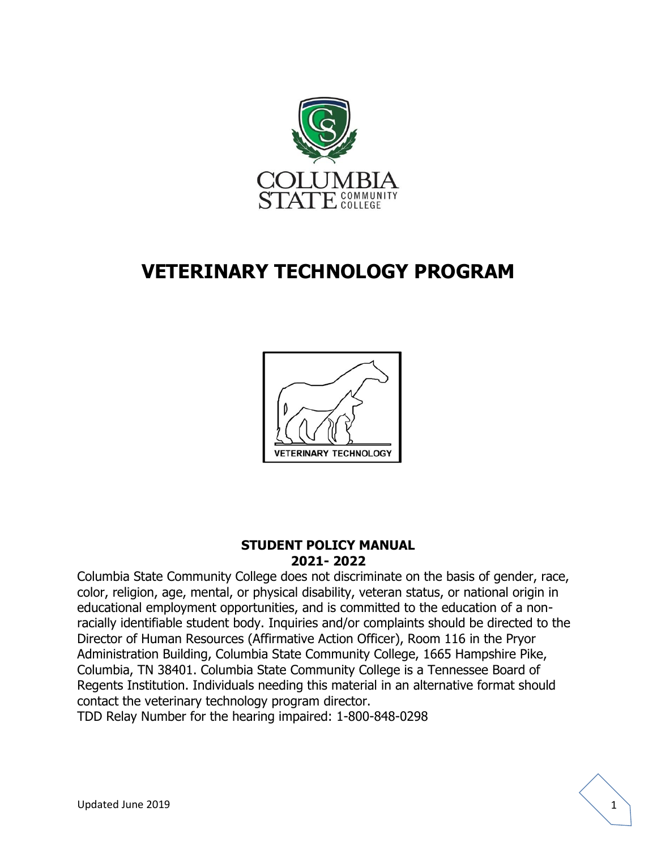

# **VETERINARY TECHNOLOGY PROGRAM**



#### **STUDENT POLICY MANUAL 2021- 2022**

Columbia State Community College does not discriminate on the basis of gender, race, color, religion, age, mental, or physical disability, veteran status, or national origin in educational employment opportunities, and is committed to the education of a nonracially identifiable student body. Inquiries and/or complaints should be directed to the Director of Human Resources (Affirmative Action Officer), Room 116 in the Pryor Administration Building, Columbia State Community College, 1665 Hampshire Pike, Columbia, TN 38401. Columbia State Community College is a Tennessee Board of Regents Institution. Individuals needing this material in an alternative format should contact the veterinary technology program director.

TDD Relay Number for the hearing impaired: 1-800-848-0298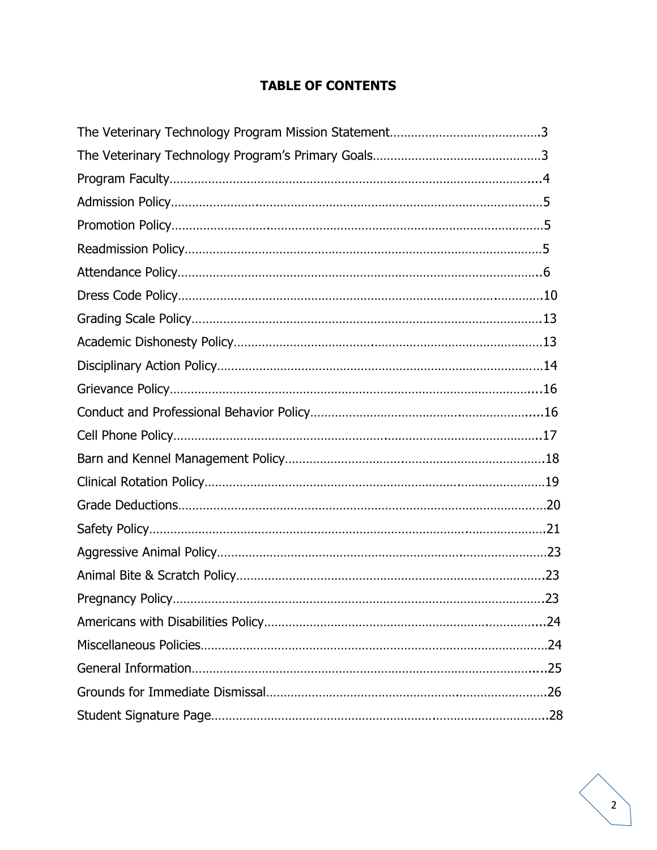# **TABLE OF CONTENTS**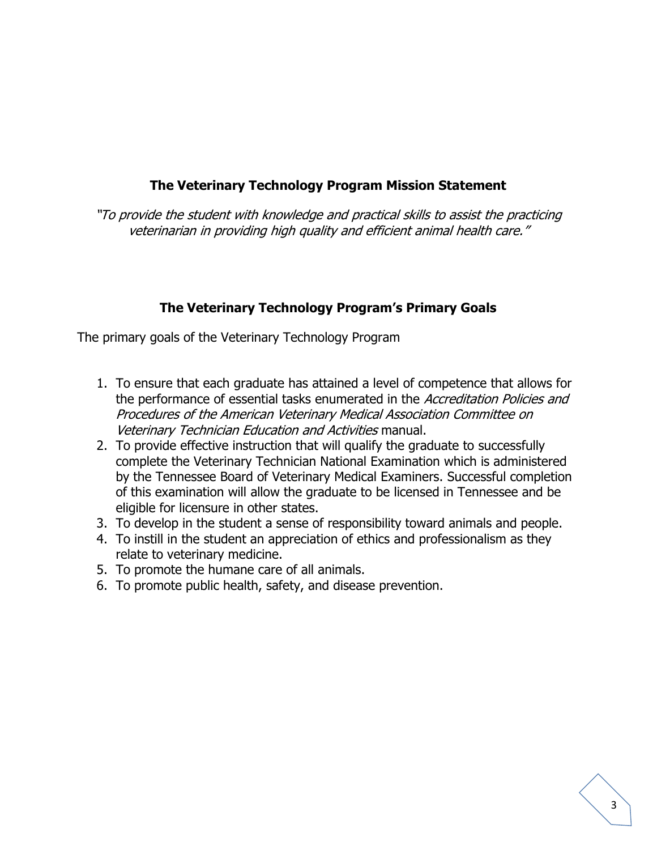# **The Veterinary Technology Program Mission Statement**

"To provide the student with knowledge and practical skills to assist the practicing veterinarian in providing high quality and efficient animal health care."

### **The Veterinary Technology Program's Primary Goals**

The primary goals of the Veterinary Technology Program

- 1. To ensure that each graduate has attained a level of competence that allows for the performance of essential tasks enumerated in the Accreditation Policies and Procedures of the American Veterinary Medical Association Committee on Veterinary Technician Education and Activities manual.
- 2. To provide effective instruction that will qualify the graduate to successfully complete the Veterinary Technician National Examination which is administered by the Tennessee Board of Veterinary Medical Examiners. Successful completion of this examination will allow the graduate to be licensed in Tennessee and be eligible for licensure in other states.
- 3. To develop in the student a sense of responsibility toward animals and people.
- 4. To instill in the student an appreciation of ethics and professionalism as they relate to veterinary medicine.
- 5. To promote the humane care of all animals.
- 6. To promote public health, safety, and disease prevention.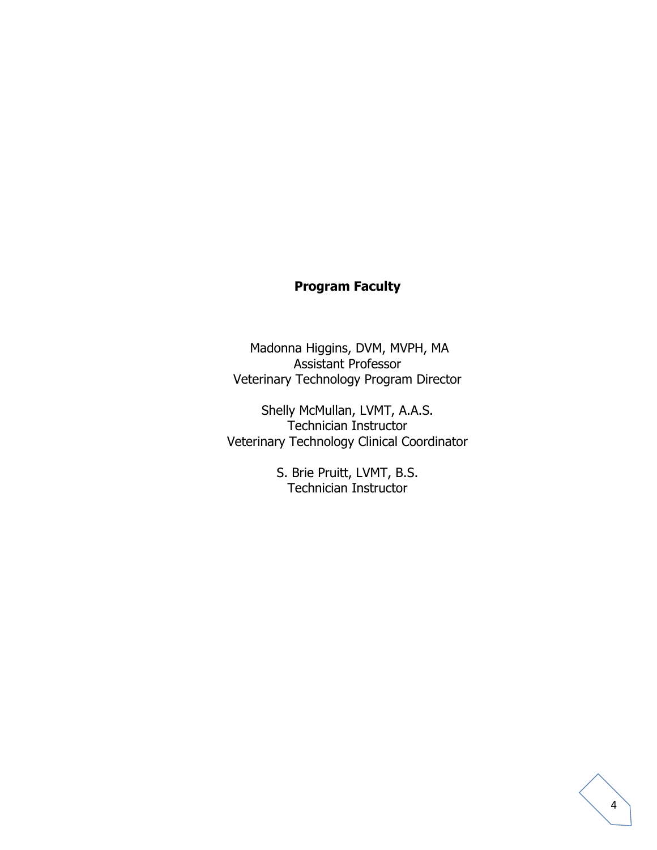# **Program Faculty**

Madonna Higgins, DVM, MVPH, MA Assistant Professor Veterinary Technology Program Director

Shelly McMullan, LVMT, A.A.S. Technician Instructor Veterinary Technology Clinical Coordinator

> S. Brie Pruitt, LVMT, B.S. Technician Instructor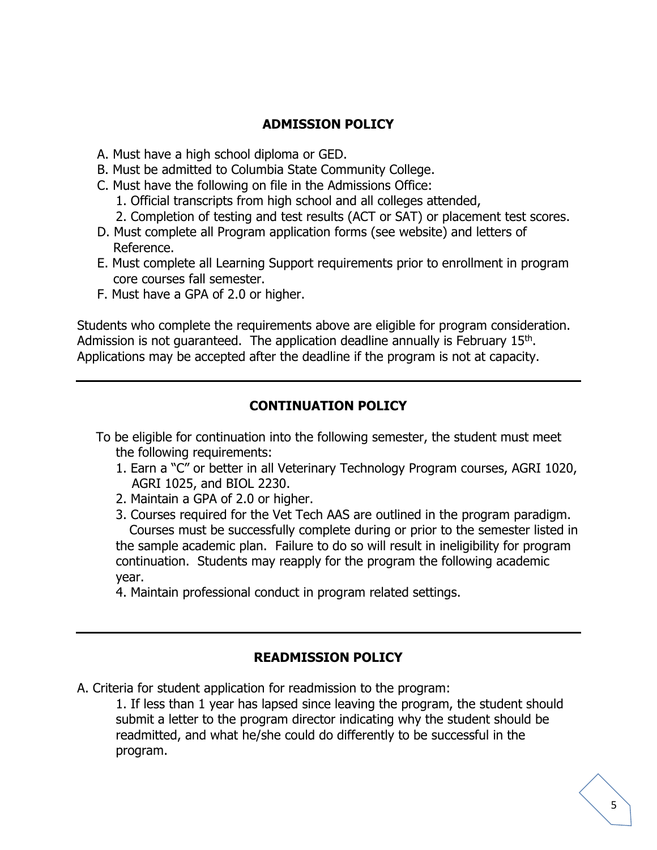### **ADMISSION POLICY**

- A. Must have a high school diploma or GED.
- B. Must be admitted to Columbia State Community College.
- C. Must have the following on file in the Admissions Office:
	- 1. Official transcripts from high school and all colleges attended,
	- 2. Completion of testing and test results (ACT or SAT) or placement test scores.
- D. Must complete all Program application forms (see website) and letters of Reference.
- E. Must complete all Learning Support requirements prior to enrollment in program core courses fall semester.
- F. Must have a GPA of 2.0 or higher.

Students who complete the requirements above are eligible for program consideration. Admission is not guaranteed. The application deadline annually is February 15<sup>th</sup>. Applications may be accepted after the deadline if the program is not at capacity.

# **CONTINUATION POLICY**

To be eligible for continuation into the following semester, the student must meet the following requirements:

- 1. Earn a "C" or better in all Veterinary Technology Program courses, AGRI 1020, AGRI 1025, and BIOL 2230.
- 2. Maintain a GPA of 2.0 or higher.
- 3. Courses required for the Vet Tech AAS are outlined in the program paradigm. Courses must be successfully complete during or prior to the semester listed in the sample academic plan. Failure to do so will result in ineligibility for program continuation. Students may reapply for the program the following academic year.
- 4. Maintain professional conduct in program related settings.

#### **READMISSION POLICY**

A. Criteria for student application for readmission to the program:

1. If less than 1 year has lapsed since leaving the program, the student should submit a letter to the program director indicating why the student should be readmitted, and what he/she could do differently to be successful in the program.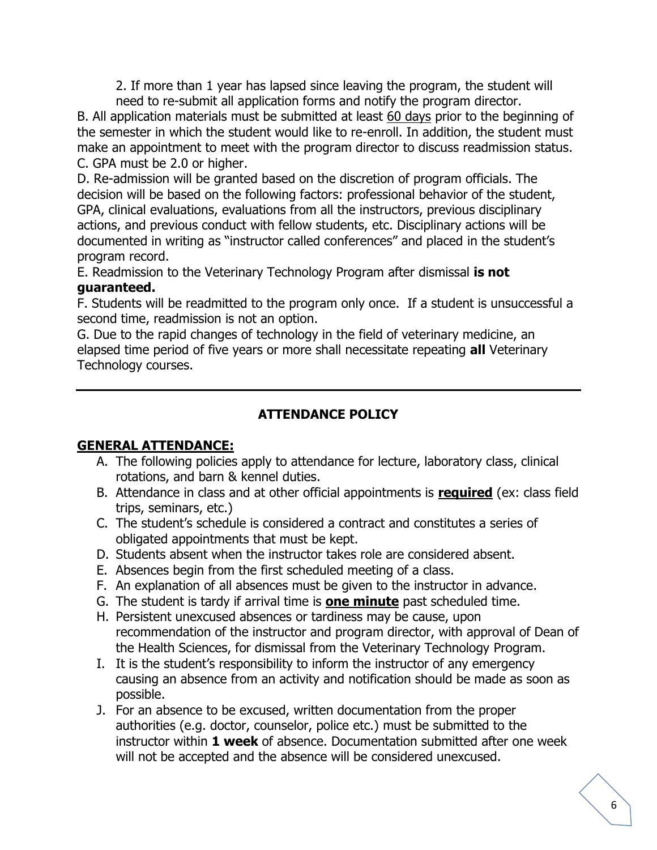2. If more than 1 year has lapsed since leaving the program, the student will need to re-submit all application forms and notify the program director.

B. All application materials must be submitted at least 60 days prior to the beginning of the semester in which the student would like to re-enroll. In addition, the student must make an appointment to meet with the program director to discuss readmission status. C. GPA must be 2.0 or higher.

D. Re-admission will be granted based on the discretion of program officials. The decision will be based on the following factors: professional behavior of the student, GPA, clinical evaluations, evaluations from all the instructors, previous disciplinary actions, and previous conduct with fellow students, etc. Disciplinary actions will be documented in writing as "instructor called conferences" and placed in the student's program record.

E. Readmission to the Veterinary Technology Program after dismissal **is not guaranteed.**

F. Students will be readmitted to the program only once. If a student is unsuccessful a second time, readmission is not an option.

G. Due to the rapid changes of technology in the field of veterinary medicine, an elapsed time period of five years or more shall necessitate repeating **all** Veterinary Technology courses.

# **ATTENDANCE POLICY**

# **GENERAL ATTENDANCE:**

- A. The following policies apply to attendance for lecture, laboratory class, clinical rotations, and barn & kennel duties.
- B. Attendance in class and at other official appointments is **required** (ex: class field trips, seminars, etc.)
- C. The student's schedule is considered a contract and constitutes a series of obligated appointments that must be kept.
- D. Students absent when the instructor takes role are considered absent.
- E. Absences begin from the first scheduled meeting of a class.
- F. An explanation of all absences must be given to the instructor in advance.
- G. The student is tardy if arrival time is **one minute** past scheduled time.
- H. Persistent unexcused absences or tardiness may be cause, upon recommendation of the instructor and program director, with approval of Dean of the Health Sciences, for dismissal from the Veterinary Technology Program.
- I. It is the student's responsibility to inform the instructor of any emergency causing an absence from an activity and notification should be made as soon as possible.
- J. For an absence to be excused, written documentation from the proper authorities (e.g. doctor, counselor, police etc.) must be submitted to the instructor within **1 week** of absence. Documentation submitted after one week will not be accepted and the absence will be considered unexcused.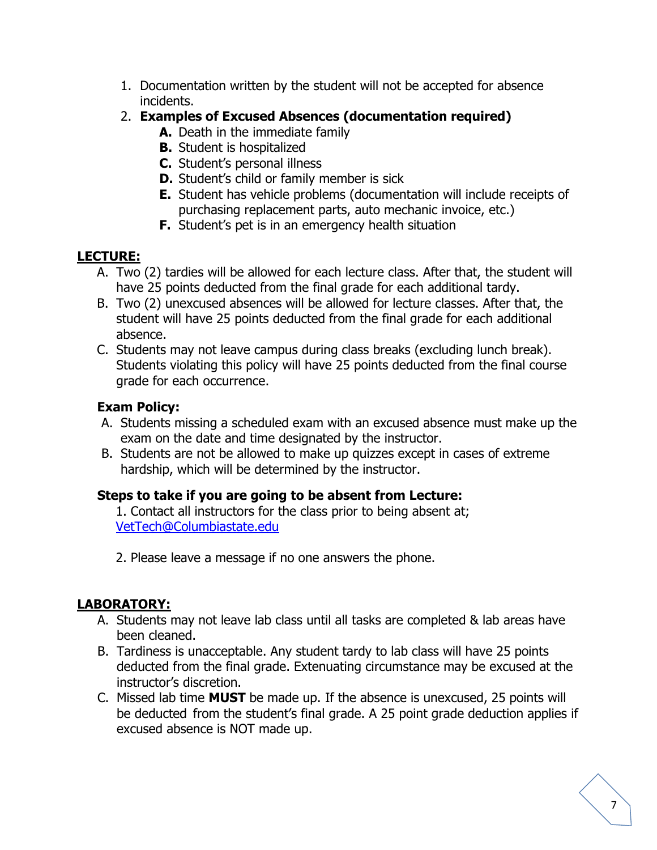- 1. Documentation written by the student will not be accepted for absence incidents.
- 2. **Examples of Excused Absences (documentation required)**
	- **A.** Death in the immediate family
	- **B.** Student is hospitalized
	- **C.** Student's personal illness
	- **D.** Student's child or family member is sick
	- **E.** Student has vehicle problems (documentation will include receipts of purchasing replacement parts, auto mechanic invoice, etc.)
	- **F.** Student's pet is in an emergency health situation

# **LECTURE:**

- A. Two (2) tardies will be allowed for each lecture class. After that, the student will have 25 points deducted from the final grade for each additional tardy.
- B. Two (2) unexcused absences will be allowed for lecture classes. After that, the student will have 25 points deducted from the final grade for each additional absence.
- C. Students may not leave campus during class breaks (excluding lunch break). Students violating this policy will have 25 points deducted from the final course grade for each occurrence.

# **Exam Policy:**

- A. Students missing a scheduled exam with an excused absence must make up the exam on the date and time designated by the instructor.
- B. Students are not be allowed to make up quizzes except in cases of extreme hardship, which will be determined by the instructor.

# **Steps to take if you are going to be absent from Lecture:**

1. Contact all instructors for the class prior to being absent at; [VetTech@Columbiastate.edu](mailto:VetTech@Columbiastate.edu)

2. Please leave a message if no one answers the phone.

# **LABORATORY:**

- A. Students may not leave lab class until all tasks are completed & lab areas have been cleaned.
- B. Tardiness is unacceptable. Any student tardy to lab class will have 25 points deducted from the final grade. Extenuating circumstance may be excused at the instructor's discretion.
- C. Missed lab time **MUST** be made up. If the absence is unexcused, 25 points will be deducted from the student's final grade. A 25 point grade deduction applies if excused absence is NOT made up.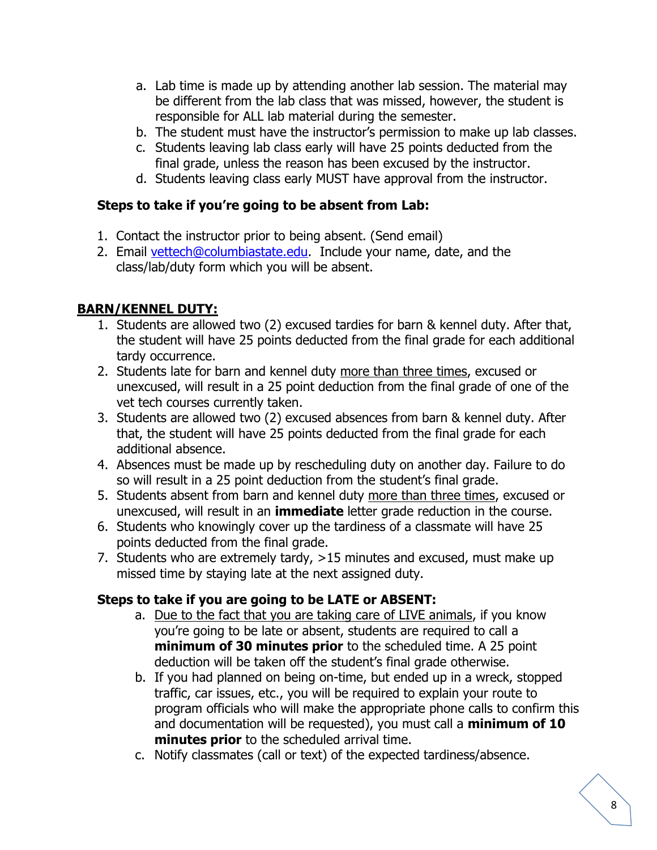- a. Lab time is made up by attending another lab session. The material may be different from the lab class that was missed, however, the student is responsible for ALL lab material during the semester.
- b. The student must have the instructor's permission to make up lab classes.
- c. Students leaving lab class early will have 25 points deducted from the final grade, unless the reason has been excused by the instructor.
- d. Students leaving class early MUST have approval from the instructor.

# **Steps to take if you're going to be absent from Lab:**

- 1. Contact the instructor prior to being absent. (Send email)
- 2. Email [vettech@columbiastate.edu.](mailto:vettech@columbiastate.edu) Include your name, date, and the class/lab/duty form which you will be absent.

# **BARN/KENNEL DUTY:**

- 1. Students are allowed two (2) excused tardies for barn & kennel duty. After that, the student will have 25 points deducted from the final grade for each additional tardy occurrence.
- 2. Students late for barn and kennel duty more than three times, excused or unexcused, will result in a 25 point deduction from the final grade of one of the vet tech courses currently taken.
- 3. Students are allowed two (2) excused absences from barn & kennel duty. After that, the student will have 25 points deducted from the final grade for each additional absence.
- 4. Absences must be made up by rescheduling duty on another day. Failure to do so will result in a 25 point deduction from the student's final grade.
- 5. Students absent from barn and kennel duty more than three times, excused or unexcused, will result in an **immediate** letter grade reduction in the course.
- 6. Students who knowingly cover up the tardiness of a classmate will have 25 points deducted from the final grade.
- 7. Students who are extremely tardy, >15 minutes and excused, must make up missed time by staying late at the next assigned duty.

# **Steps to take if you are going to be LATE or ABSENT:**

- a. Due to the fact that you are taking care of LIVE animals, if you know you're going to be late or absent, students are required to call a **minimum of 30 minutes prior** to the scheduled time. A 25 point deduction will be taken off the student's final grade otherwise.
- b. If you had planned on being on-time, but ended up in a wreck, stopped traffic, car issues, etc., you will be required to explain your route to program officials who will make the appropriate phone calls to confirm this and documentation will be requested), you must call a **minimum of 10 minutes prior** to the scheduled arrival time.
- c. Notify classmates (call or text) of the expected tardiness/absence.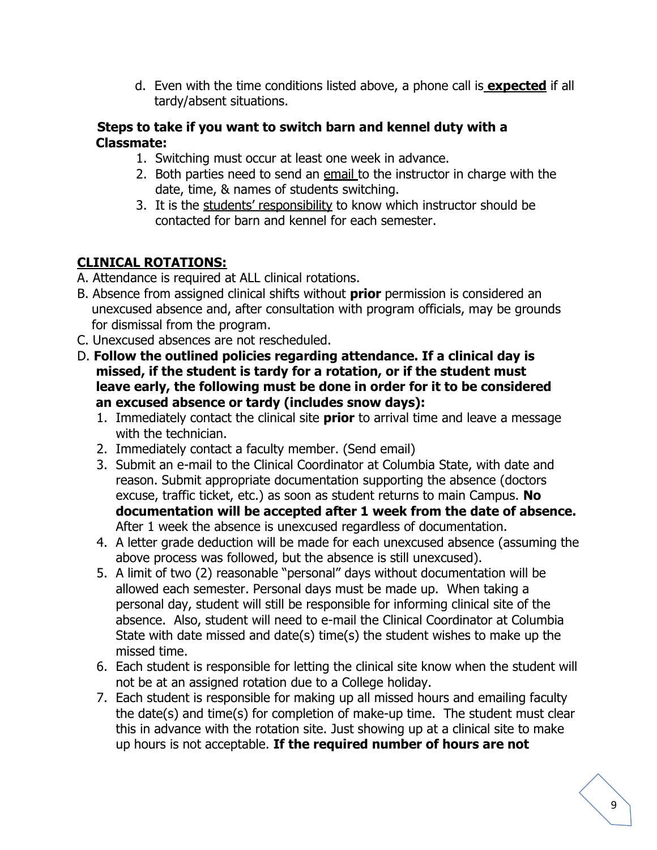d. Even with the time conditions listed above, a phone call is **expected** if all tardy/absent situations.

#### **Steps to take if you want to switch barn and kennel duty with a Classmate:**

- 1. Switching must occur at least one week in advance.
- 2. Both parties need to send an email to the instructor in charge with the date, time, & names of students switching.
- 3. It is the students' responsibility to know which instructor should be contacted for barn and kennel for each semester.

# **CLINICAL ROTATIONS:**

- A. Attendance is required at ALL clinical rotations.
- B. Absence from assigned clinical shifts without **prior** permission is considered an unexcused absence and, after consultation with program officials, may be grounds for dismissal from the program.
- C. Unexcused absences are not rescheduled.
- D. **Follow the outlined policies regarding attendance. If a clinical day is missed, if the student is tardy for a rotation, or if the student must leave early, the following must be done in order for it to be considered an excused absence or tardy (includes snow days):**
	- 1. Immediately contact the clinical site **prior** to arrival time and leave a message with the technician.
	- 2. Immediately contact a faculty member. (Send email)
	- 3. Submit an e-mail to the Clinical Coordinator at Columbia State, with date and reason. Submit appropriate documentation supporting the absence (doctors excuse, traffic ticket, etc.) as soon as student returns to main Campus. **No documentation will be accepted after 1 week from the date of absence.** After 1 week the absence is unexcused regardless of documentation.
	- 4. A letter grade deduction will be made for each unexcused absence (assuming the above process was followed, but the absence is still unexcused).
	- 5. A limit of two (2) reasonable "personal" days without documentation will be allowed each semester. Personal days must be made up. When taking a personal day, student will still be responsible for informing clinical site of the absence. Also, student will need to e-mail the Clinical Coordinator at Columbia State with date missed and date(s) time(s) the student wishes to make up the missed time.
	- 6. Each student is responsible for letting the clinical site know when the student will not be at an assigned rotation due to a College holiday.
	- 7. Each student is responsible for making up all missed hours and emailing faculty the date(s) and time(s) for completion of make-up time. The student must clear this in advance with the rotation site. Just showing up at a clinical site to make up hours is not acceptable. **If the required number of hours are not**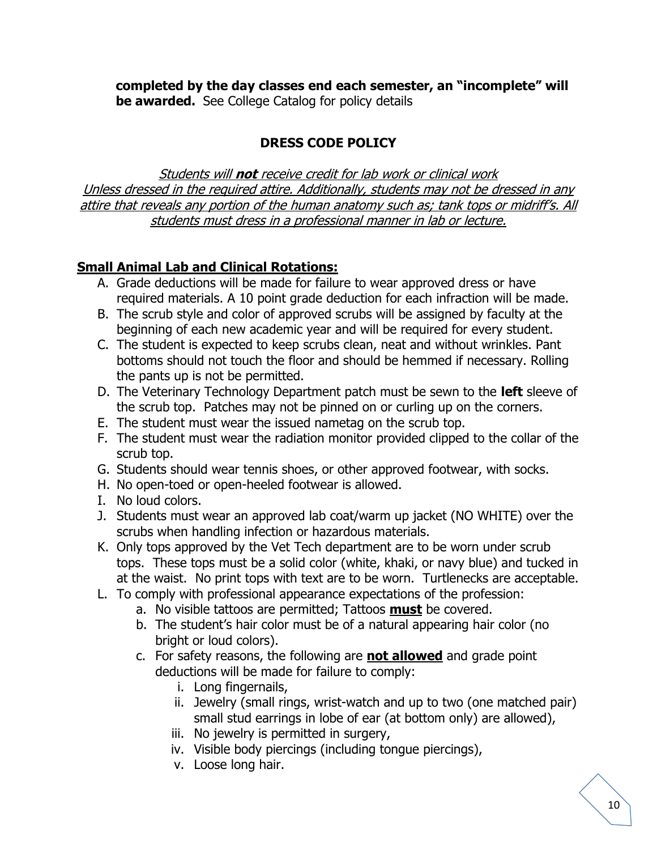**completed by the day classes end each semester, an "incomplete" will be awarded.** See College Catalog for policy details

# **DRESS CODE POLICY**

Students will **not** receive credit for lab work or clinical work Unless dressed in the required attire. Additionally, students may not be dressed in any attire that reveals any portion of the human anatomy such as; tank tops or midriff's. All students must dress in a professional manner in lab or lecture.

# **Small Animal Lab and Clinical Rotations:**

- A. Grade deductions will be made for failure to wear approved dress or have required materials. A 10 point grade deduction for each infraction will be made.
- B. The scrub style and color of approved scrubs will be assigned by faculty at the beginning of each new academic year and will be required for every student.
- C. The student is expected to keep scrubs clean, neat and without wrinkles. Pant bottoms should not touch the floor and should be hemmed if necessary. Rolling the pants up is not be permitted.
- D. The Veterinary Technology Department patch must be sewn to the **left** sleeve of the scrub top. Patches may not be pinned on or curling up on the corners.
- E. The student must wear the issued nametag on the scrub top.
- F. The student must wear the radiation monitor provided clipped to the collar of the scrub top.
- G. Students should wear tennis shoes, or other approved footwear, with socks.
- H. No open-toed or open-heeled footwear is allowed.
- I. No loud colors.
- J. Students must wear an approved lab coat/warm up jacket (NO WHITE) over the scrubs when handling infection or hazardous materials.
- K. Only tops approved by the Vet Tech department are to be worn under scrub tops. These tops must be a solid color (white, khaki, or navy blue) and tucked in at the waist. No print tops with text are to be worn. Turtlenecks are acceptable.
- L. To comply with professional appearance expectations of the profession:
	- a. No visible tattoos are permitted; Tattoos **must** be covered.
	- b. The student's hair color must be of a natural appearing hair color (no bright or loud colors).
	- c. For safety reasons, the following are **not allowed** and grade point deductions will be made for failure to comply:
		- i. Long fingernails,
		- ii. Jewelry (small rings, wrist-watch and up to two (one matched pair) small stud earrings in lobe of ear (at bottom only) are allowed),
		- iii. No jewelry is permitted in surgery,
		- iv. Visible body piercings (including tongue piercings),
		- v. Loose long hair.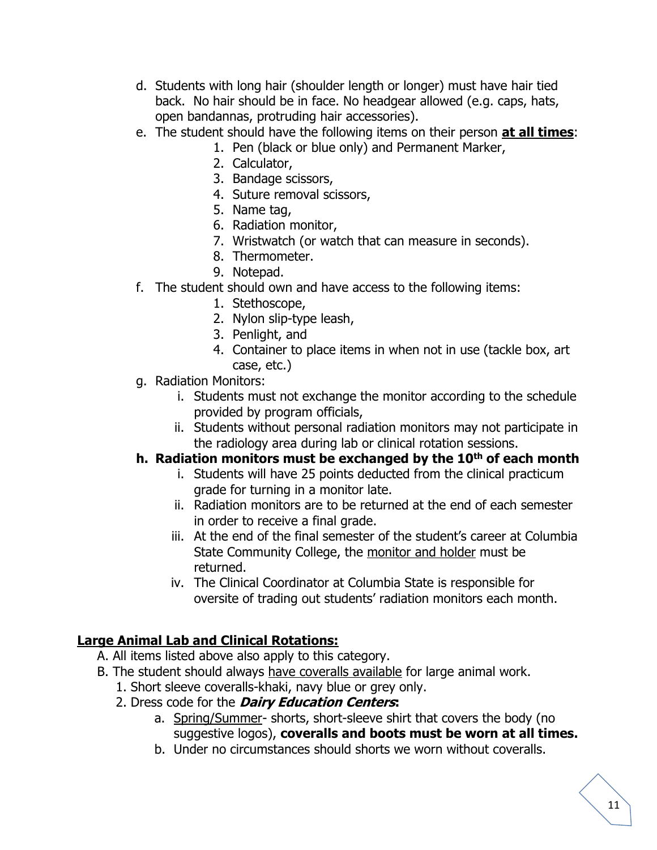- d. Students with long hair (shoulder length or longer) must have hair tied back. No hair should be in face. No headgear allowed (e.g. caps, hats, open bandannas, protruding hair accessories).
- e. The student should have the following items on their person **at all times**:
	- 1. Pen (black or blue only) and Permanent Marker,
	- 2. Calculator,
	- 3. Bandage scissors,
	- 4. Suture removal scissors,
	- 5. Name tag,
	- 6. Radiation monitor,
	- 7. Wristwatch (or watch that can measure in seconds).
	- 8. Thermometer.
	- 9. Notepad.
- f. The student should own and have access to the following items:
	- 1. Stethoscope,
	- 2. Nylon slip-type leash,
	- 3. Penlight, and
	- 4. Container to place items in when not in use (tackle box, art case, etc.)
- g. Radiation Monitors:
	- i. Students must not exchange the monitor according to the schedule provided by program officials,
	- ii. Students without personal radiation monitors may not participate in the radiology area during lab or clinical rotation sessions.

# **h. Radiation monitors must be exchanged by the 10th of each month**

- i. Students will have 25 points deducted from the clinical practicum grade for turning in a monitor late.
- ii. Radiation monitors are to be returned at the end of each semester in order to receive a final grade.
- iii. At the end of the final semester of the student's career at Columbia State Community College, the monitor and holder must be returned.
- iv. The Clinical Coordinator at Columbia State is responsible for oversite of trading out students' radiation monitors each month.

# **Large Animal Lab and Clinical Rotations:**

- A. All items listed above also apply to this category.
- B. The student should always have coveralls available for large animal work.
	- 1. Short sleeve coveralls-khaki, navy blue or grey only.
	- 2. Dress code for the **Dairy Education Centers:**
		- a. Spring/Summer- shorts, short-sleeve shirt that covers the body (no suggestive logos), **coveralls and boots must be worn at all times.**
		- b. Under no circumstances should shorts we worn without coveralls.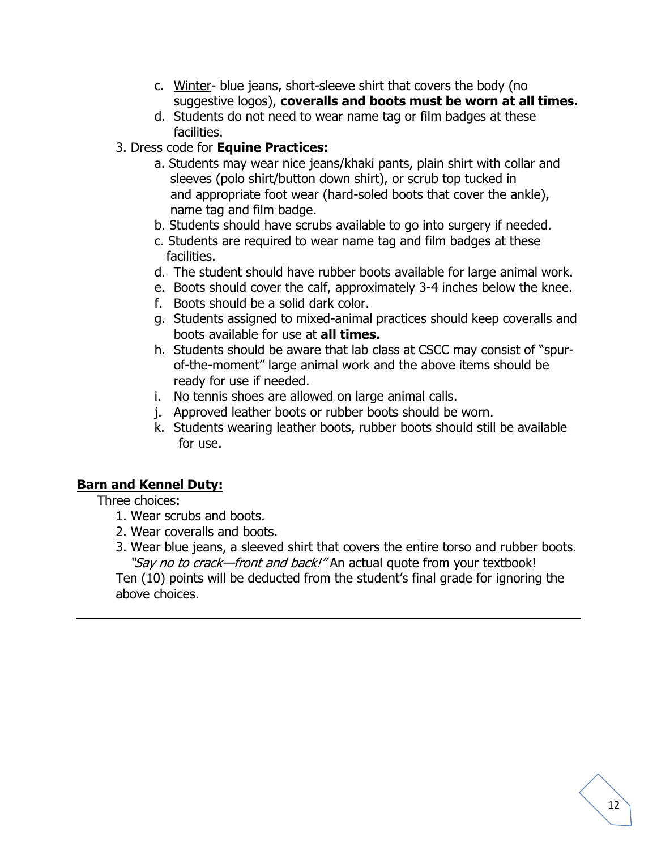- c. Winter- blue jeans, short-sleeve shirt that covers the body (no suggestive logos), **coveralls and boots must be worn at all times.**
- d. Students do not need to wear name tag or film badges at these facilities.
- 3. Dress code for **Equine Practices:** 
	- a. Students may wear nice jeans/khaki pants, plain shirt with collar and sleeves (polo shirt/button down shirt), or scrub top tucked in and appropriate foot wear (hard-soled boots that cover the ankle), name tag and film badge.
	- b. Students should have scrubs available to go into surgery if needed.
	- c. Students are required to wear name tag and film badges at these facilities.
	- d. The student should have rubber boots available for large animal work.
	- e. Boots should cover the calf, approximately 3-4 inches below the knee.
	- f. Boots should be a solid dark color.
	- g. Students assigned to mixed-animal practices should keep coveralls and boots available for use at **all times.**
	- h. Students should be aware that lab class at CSCC may consist of "spurof-the-moment" large animal work and the above items should be ready for use if needed.
	- i. No tennis shoes are allowed on large animal calls.
	- j. Approved leather boots or rubber boots should be worn.
	- k. Students wearing leather boots, rubber boots should still be available for use.

# **Barn and Kennel Duty:**

Three choices:

- 1. Wear scrubs and boots.
- 2. Wear coveralls and boots.
- 3. Wear blue jeans, a sleeved shirt that covers the entire torso and rubber boots. "Say no to crack—front and back!" An actual quote from your textbook!

Ten (10) points will be deducted from the student's final grade for ignoring the above choices.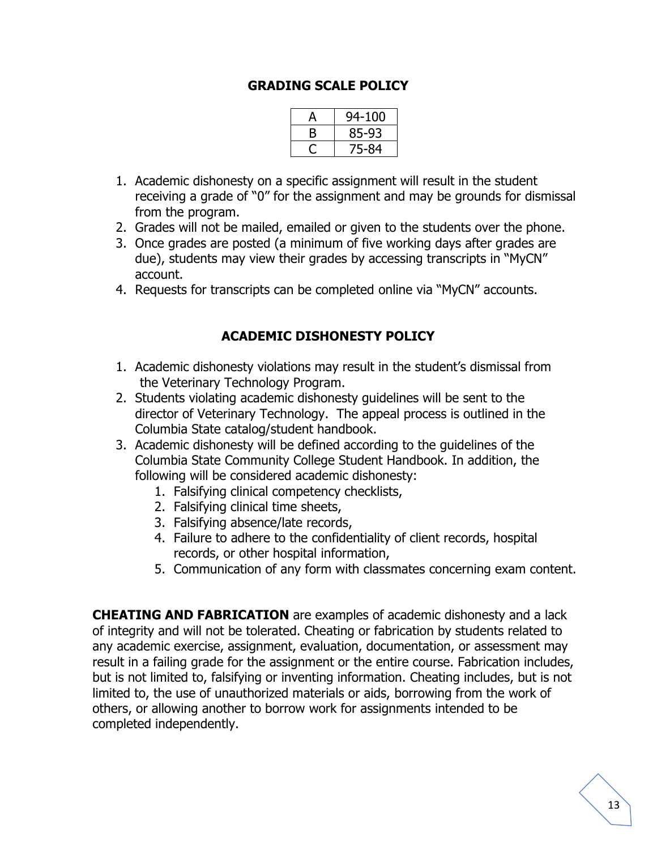#### **GRADING SCALE POLICY**

| А | 94-100 |
|---|--------|
| В | 85-93  |
|   | 75-84  |

- 1. Academic dishonesty on a specific assignment will result in the student receiving a grade of "0" for the assignment and may be grounds for dismissal from the program.
- 2. Grades will not be mailed, emailed or given to the students over the phone.
- 3. Once grades are posted (a minimum of five working days after grades are due), students may view their grades by accessing transcripts in "MyCN" account.
- 4. Requests for transcripts can be completed online via "MyCN" accounts.

### **ACADEMIC DISHONESTY POLICY**

- 1. Academic dishonesty violations may result in the student's dismissal from the Veterinary Technology Program.
- 2. Students violating academic dishonesty guidelines will be sent to the director of Veterinary Technology. The appeal process is outlined in the Columbia State catalog/student handbook.
- 3. Academic dishonesty will be defined according to the guidelines of the Columbia State Community College Student Handbook. In addition, the following will be considered academic dishonesty:
	- 1. Falsifying clinical competency checklists,
	- 2. Falsifying clinical time sheets,
	- 3. Falsifying absence/late records,
	- 4. Failure to adhere to the confidentiality of client records, hospital records, or other hospital information,
	- 5. Communication of any form with classmates concerning exam content.

**CHEATING AND FABRICATION** are examples of academic dishonesty and a lack of integrity and will not be tolerated. Cheating or fabrication by students related to any academic exercise, assignment, evaluation, documentation, or assessment may result in a failing grade for the assignment or the entire course. Fabrication includes, but is not limited to, falsifying or inventing information. Cheating includes, but is not limited to, the use of unauthorized materials or aids, borrowing from the work of others, or allowing another to borrow work for assignments intended to be completed independently.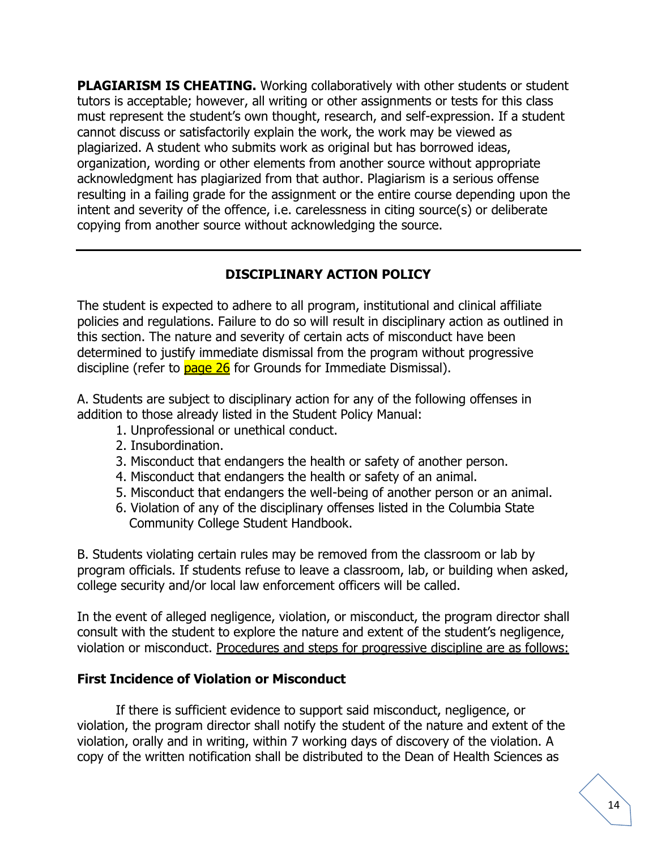**PLAGIARISM IS CHEATING.** Working collaboratively with other students or student tutors is acceptable; however, all writing or other assignments or tests for this class must represent the student's own thought, research, and self-expression. If a student cannot discuss or satisfactorily explain the work, the work may be viewed as plagiarized. A student who submits work as original but has borrowed ideas, organization, wording or other elements from another source without appropriate acknowledgment has plagiarized from that author. Plagiarism is a serious offense resulting in a failing grade for the assignment or the entire course depending upon the intent and severity of the offence, i.e. carelessness in citing source(s) or deliberate copying from another source without acknowledging the source.

# **DISCIPLINARY ACTION POLICY**

The student is expected to adhere to all program, institutional and clinical affiliate policies and regulations. Failure to do so will result in disciplinary action as outlined in this section. The nature and severity of certain acts of misconduct have been determined to justify immediate dismissal from the program without progressive discipline (refer to page 26 for Grounds for Immediate Dismissal).

A. Students are subject to disciplinary action for any of the following offenses in addition to those already listed in the Student Policy Manual:

- 1. Unprofessional or unethical conduct.
- 2. Insubordination.
- 3. Misconduct that endangers the health or safety of another person.
- 4. Misconduct that endangers the health or safety of an animal.
- 5. Misconduct that endangers the well-being of another person or an animal.
- 6. Violation of any of the disciplinary offenses listed in the Columbia State Community College Student Handbook.

B. Students violating certain rules may be removed from the classroom or lab by program officials. If students refuse to leave a classroom, lab, or building when asked, college security and/or local law enforcement officers will be called.

In the event of alleged negligence, violation, or misconduct, the program director shall consult with the student to explore the nature and extent of the student's negligence, violation or misconduct. Procedures and steps for progressive discipline are as follows:

#### **First Incidence of Violation or Misconduct**

If there is sufficient evidence to support said misconduct, negligence, or violation, the program director shall notify the student of the nature and extent of the violation, orally and in writing, within 7 working days of discovery of the violation. A copy of the written notification shall be distributed to the Dean of Health Sciences as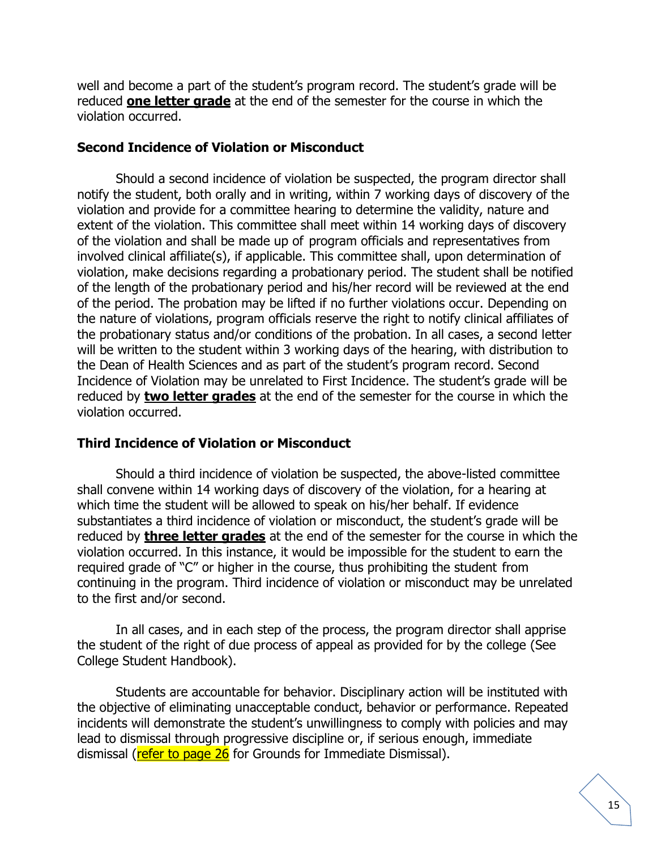well and become a part of the student's program record. The student's grade will be reduced **one letter grade** at the end of the semester for the course in which the violation occurred.

#### **Second Incidence of Violation or Misconduct**

Should a second incidence of violation be suspected, the program director shall notify the student, both orally and in writing, within 7 working days of discovery of the violation and provide for a committee hearing to determine the validity, nature and extent of the violation. This committee shall meet within 14 working days of discovery of the violation and shall be made up of program officials and representatives from involved clinical affiliate(s), if applicable. This committee shall, upon determination of violation, make decisions regarding a probationary period. The student shall be notified of the length of the probationary period and his/her record will be reviewed at the end of the period. The probation may be lifted if no further violations occur. Depending on the nature of violations, program officials reserve the right to notify clinical affiliates of the probationary status and/or conditions of the probation. In all cases, a second letter will be written to the student within 3 working days of the hearing, with distribution to the Dean of Health Sciences and as part of the student's program record. Second Incidence of Violation may be unrelated to First Incidence. The student's grade will be reduced by **two letter grades** at the end of the semester for the course in which the violation occurred.

#### **Third Incidence of Violation or Misconduct**

Should a third incidence of violation be suspected, the above-listed committee shall convene within 14 working days of discovery of the violation, for a hearing at which time the student will be allowed to speak on his/her behalf. If evidence substantiates a third incidence of violation or misconduct, the student's grade will be reduced by **three letter grades** at the end of the semester for the course in which the violation occurred. In this instance, it would be impossible for the student to earn the required grade of "C" or higher in the course, thus prohibiting the student from continuing in the program. Third incidence of violation or misconduct may be unrelated to the first and/or second.

In all cases, and in each step of the process, the program director shall apprise the student of the right of due process of appeal as provided for by the college (See College Student Handbook).

Students are accountable for behavior. Disciplinary action will be instituted with the objective of eliminating unacceptable conduct, behavior or performance. Repeated incidents will demonstrate the student's unwillingness to comply with policies and may lead to dismissal through progressive discipline or, if serious enough, immediate dismissal (refer to page 26 for Grounds for Immediate Dismissal).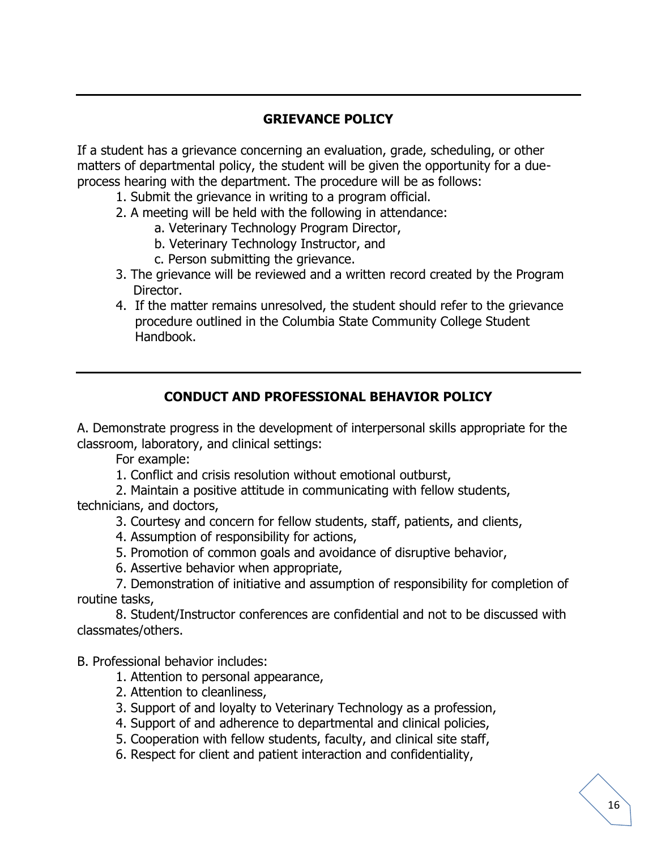# **GRIEVANCE POLICY**

If a student has a grievance concerning an evaluation, grade, scheduling, or other matters of departmental policy, the student will be given the opportunity for a dueprocess hearing with the department. The procedure will be as follows:

- 1. Submit the grievance in writing to a program official.
- 2. A meeting will be held with the following in attendance:
	- a. Veterinary Technology Program Director,
	- b. Veterinary Technology Instructor, and
	- c. Person submitting the grievance.
- 3. The grievance will be reviewed and a written record created by the Program Director.
- 4. If the matter remains unresolved, the student should refer to the grievance procedure outlined in the Columbia State Community College Student Handbook.

#### **CONDUCT AND PROFESSIONAL BEHAVIOR POLICY**

A. Demonstrate progress in the development of interpersonal skills appropriate for the classroom, laboratory, and clinical settings:

For example:

1. Conflict and crisis resolution without emotional outburst,

2. Maintain a positive attitude in communicating with fellow students, technicians, and doctors,

- 3. Courtesy and concern for fellow students, staff, patients, and clients,
- 4. Assumption of responsibility for actions,
- 5. Promotion of common goals and avoidance of disruptive behavior,
- 6. Assertive behavior when appropriate,

7. Demonstration of initiative and assumption of responsibility for completion of routine tasks,

8. Student/Instructor conferences are confidential and not to be discussed with classmates/others.

B. Professional behavior includes:

- 1. Attention to personal appearance,
- 2. Attention to cleanliness,
- 3. Support of and loyalty to Veterinary Technology as a profession,
- 4. Support of and adherence to departmental and clinical policies,
- 5. Cooperation with fellow students, faculty, and clinical site staff,
- 6. Respect for client and patient interaction and confidentiality,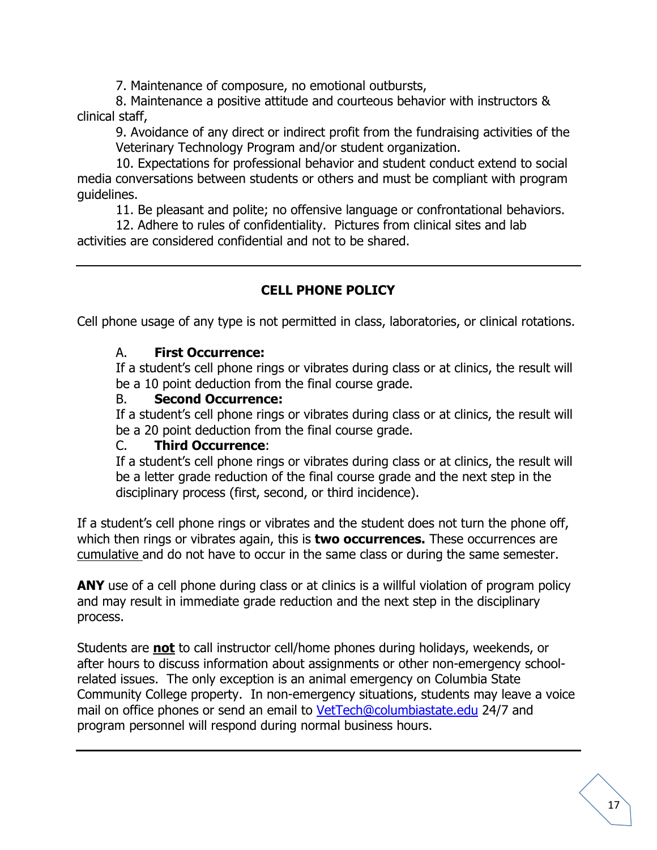7. Maintenance of composure, no emotional outbursts,

8. Maintenance a positive attitude and courteous behavior with instructors & clinical staff,

9. Avoidance of any direct or indirect profit from the fundraising activities of the Veterinary Technology Program and/or student organization.

10. Expectations for professional behavior and student conduct extend to social media conversations between students or others and must be compliant with program guidelines.

11. Be pleasant and polite; no offensive language or confrontational behaviors.

12. Adhere to rules of confidentiality. Pictures from clinical sites and lab activities are considered confidential and not to be shared.

# **CELL PHONE POLICY**

Cell phone usage of any type is not permitted in class, laboratories, or clinical rotations.

#### A. **First Occurrence:**

If a student's cell phone rings or vibrates during class or at clinics, the result will be a 10 point deduction from the final course grade.

#### B. **Second Occurrence:**

If a student's cell phone rings or vibrates during class or at clinics, the result will be a 20 point deduction from the final course grade.

#### C. **Third Occurrence**:

If a student's cell phone rings or vibrates during class or at clinics, the result will be a letter grade reduction of the final course grade and the next step in the disciplinary process (first, second, or third incidence).

If a student's cell phone rings or vibrates and the student does not turn the phone off, which then rings or vibrates again, this is **two occurrences.** These occurrences are cumulative and do not have to occur in the same class or during the same semester.

ANY use of a cell phone during class or at clinics is a willful violation of program policy and may result in immediate grade reduction and the next step in the disciplinary process.

Students are **not** to call instructor cell/home phones during holidays, weekends, or after hours to discuss information about assignments or other non-emergency schoolrelated issues. The only exception is an animal emergency on Columbia State Community College property. In non-emergency situations, students may leave a voice mail on office phones or send an email to [VetTech@columbiastate.edu](mailto:VetTech@columbiastate.edu) 24/7 and program personnel will respond during normal business hours.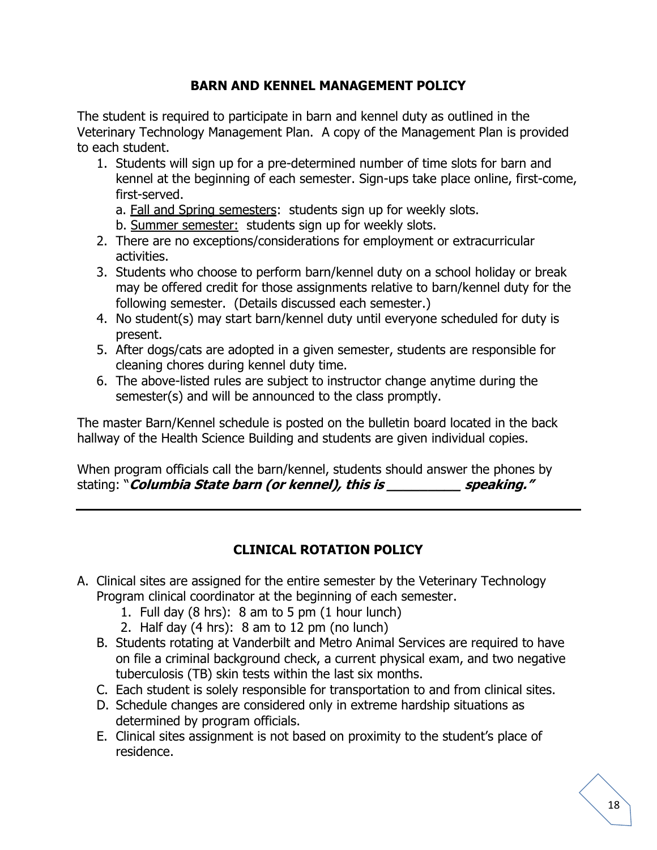### **BARN AND KENNEL MANAGEMENT POLICY**

The student is required to participate in barn and kennel duty as outlined in the Veterinary Technology Management Plan. A copy of the Management Plan is provided to each student.

- 1. Students will sign up for a pre-determined number of time slots for barn and kennel at the beginning of each semester. Sign-ups take place online, first-come, first-served.
	- a. Fall and Spring semesters: students sign up for weekly slots.
	- b. Summer semester: students sign up for weekly slots.
- 2. There are no exceptions/considerations for employment or extracurricular activities.
- 3. Students who choose to perform barn/kennel duty on a school holiday or break may be offered credit for those assignments relative to barn/kennel duty for the following semester. (Details discussed each semester.)
- 4. No student(s) may start barn/kennel duty until everyone scheduled for duty is present.
- 5. After dogs/cats are adopted in a given semester, students are responsible for cleaning chores during kennel duty time.
- 6. The above-listed rules are subject to instructor change anytime during the semester(s) and will be announced to the class promptly.

The master Barn/Kennel schedule is posted on the bulletin board located in the back hallway of the Health Science Building and students are given individual copies.

When program officials call the barn/kennel, students should answer the phones by stating: "*Columbia State barn (or kennel), this is* **speaking."** 

# **CLINICAL ROTATION POLICY**

- A. Clinical sites are assigned for the entire semester by the Veterinary Technology Program clinical coordinator at the beginning of each semester.
	- 1. Full day (8 hrs): 8 am to 5 pm (1 hour lunch)
	- 2. Half day (4 hrs): 8 am to 12 pm (no lunch)
	- B. Students rotating at Vanderbilt and Metro Animal Services are required to have on file a criminal background check, a current physical exam, and two negative tuberculosis (TB) skin tests within the last six months.
	- C. Each student is solely responsible for transportation to and from clinical sites.
	- D. Schedule changes are considered only in extreme hardship situations as determined by program officials.
	- E. Clinical sites assignment is not based on proximity to the student's place of residence.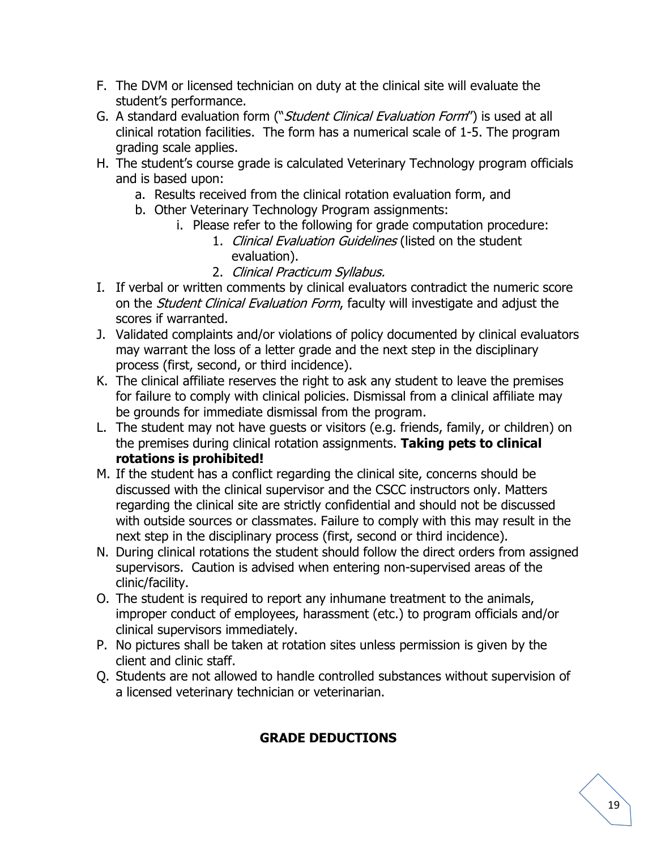- F. The DVM or licensed technician on duty at the clinical site will evaluate the student's performance.
- G. A standard evaluation form ("Student Clinical Evaluation Form") is used at all clinical rotation facilities. The form has a numerical scale of 1-5. The program grading scale applies.
- H. The student's course grade is calculated Veterinary Technology program officials and is based upon:
	- a. Results received from the clinical rotation evaluation form, and
	- b. Other Veterinary Technology Program assignments:
		- i. Please refer to the following for grade computation procedure:
			- 1. Clinical Evaluation Guidelines (listed on the student evaluation).
			- 2. Clinical Practicum Syllabus.
- I. If verbal or written comments by clinical evaluators contradict the numeric score on the *Student Clinical Evaluation Form*, faculty will investigate and adjust the scores if warranted.
- J. Validated complaints and/or violations of policy documented by clinical evaluators may warrant the loss of a letter grade and the next step in the disciplinary process (first, second, or third incidence).
- K. The clinical affiliate reserves the right to ask any student to leave the premises for failure to comply with clinical policies. Dismissal from a clinical affiliate may be grounds for immediate dismissal from the program.
- L. The student may not have guests or visitors (e.g. friends, family, or children) on the premises during clinical rotation assignments. **Taking pets to clinical rotations is prohibited!**
- M. If the student has a conflict regarding the clinical site, concerns should be discussed with the clinical supervisor and the CSCC instructors only. Matters regarding the clinical site are strictly confidential and should not be discussed with outside sources or classmates. Failure to comply with this may result in the next step in the disciplinary process (first, second or third incidence).
- N. During clinical rotations the student should follow the direct orders from assigned supervisors. Caution is advised when entering non-supervised areas of the clinic/facility.
- O. The student is required to report any inhumane treatment to the animals, improper conduct of employees, harassment (etc.) to program officials and/or clinical supervisors immediately.
- P. No pictures shall be taken at rotation sites unless permission is given by the client and clinic staff.
- Q. Students are not allowed to handle controlled substances without supervision of a licensed veterinary technician or veterinarian.

# **GRADE DEDUCTIONS**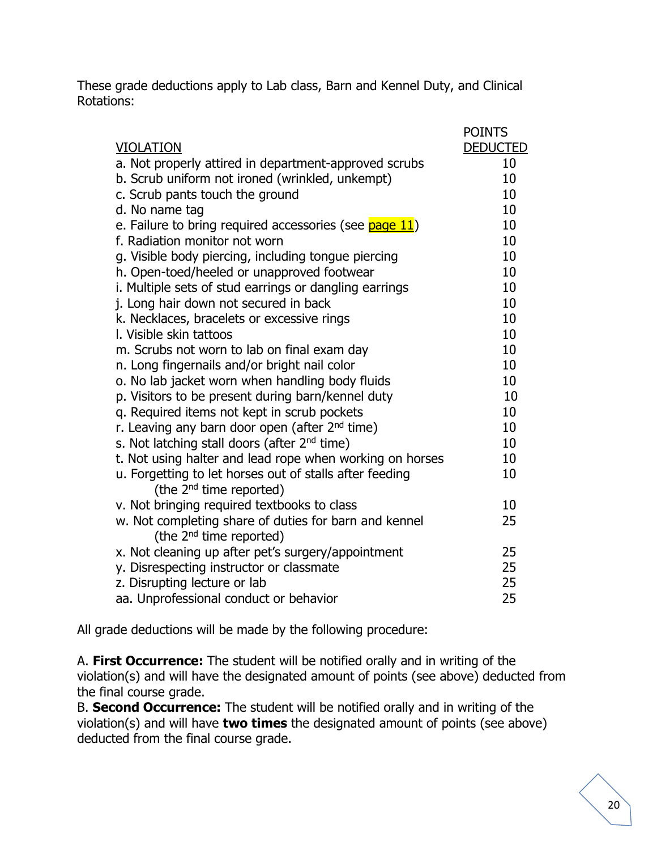These grade deductions apply to Lab class, Barn and Kennel Duty, and Clinical Rotations:

|                                                                                                | <b>POINTS</b>   |
|------------------------------------------------------------------------------------------------|-----------------|
| <b>VIOLATION</b>                                                                               | <b>DEDUCTED</b> |
| a. Not properly attired in department-approved scrubs                                          | 10              |
| b. Scrub uniform not ironed (wrinkled, unkempt)                                                | 10              |
| c. Scrub pants touch the ground                                                                | 10              |
| d. No name tag                                                                                 | 10              |
| e. Failure to bring required accessories (see page 11)                                         | 10              |
| f. Radiation monitor not worn                                                                  | 10              |
| g. Visible body piercing, including tongue piercing                                            | 10              |
| h. Open-toed/heeled or unapproved footwear                                                     | 10              |
| i. Multiple sets of stud earrings or dangling earrings                                         | 10              |
| j. Long hair down not secured in back                                                          | 10              |
| k. Necklaces, bracelets or excessive rings                                                     | 10              |
| I. Visible skin tattoos                                                                        | 10              |
| m. Scrubs not worn to lab on final exam day                                                    | 10              |
| n. Long fingernails and/or bright nail color                                                   | 10              |
| o. No lab jacket worn when handling body fluids                                                | 10              |
| p. Visitors to be present during barn/kennel duty                                              | 10              |
| q. Required items not kept in scrub pockets                                                    | 10              |
| r. Leaving any barn door open (after 2 <sup>nd</sup> time)                                     | 10              |
| s. Not latching stall doors (after 2 <sup>nd</sup> time)                                       | 10              |
| t. Not using halter and lead rope when working on horses                                       | 10              |
| u. Forgetting to let horses out of stalls after feeding<br>(the 2 <sup>nd</sup> time reported) | 10              |
| v. Not bringing required textbooks to class                                                    | 10              |
| w. Not completing share of duties for barn and kennel                                          | 25              |
| (the 2 <sup>nd</sup> time reported)                                                            |                 |
| x. Not cleaning up after pet's surgery/appointment                                             | 25              |
| y. Disrespecting instructor or classmate                                                       | 25              |
| z. Disrupting lecture or lab                                                                   | 25              |
| aa. Unprofessional conduct or behavior                                                         | 25              |

All grade deductions will be made by the following procedure:

A. **First Occurrence:** The student will be notified orally and in writing of the violation(s) and will have the designated amount of points (see above) deducted from the final course grade.

B. **Second Occurrence:** The student will be notified orally and in writing of the violation(s) and will have **two times** the designated amount of points (see above) deducted from the final course grade.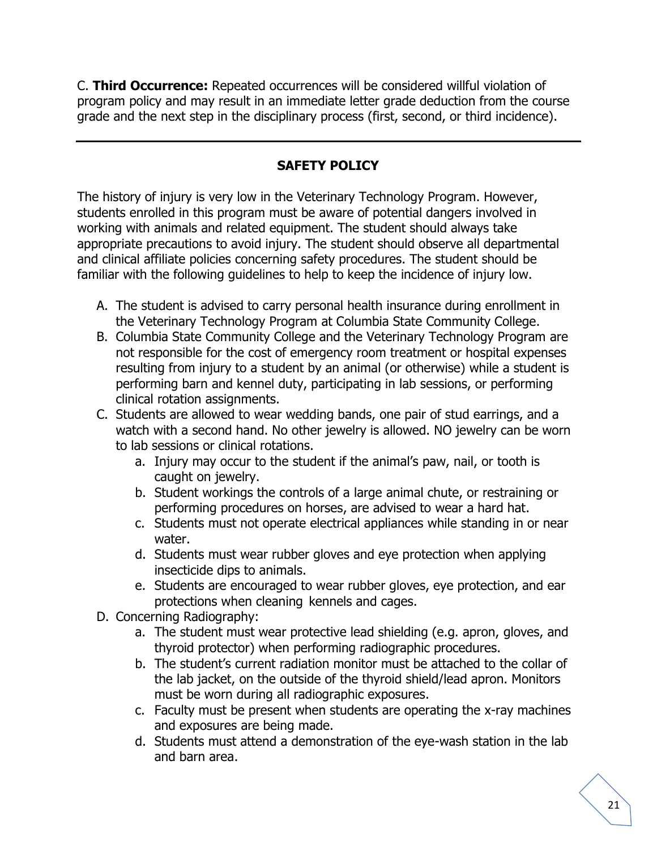C. **Third Occurrence:** Repeated occurrences will be considered willful violation of program policy and may result in an immediate letter grade deduction from the course grade and the next step in the disciplinary process (first, second, or third incidence).

# **SAFETY POLICY**

The history of injury is very low in the Veterinary Technology Program. However, students enrolled in this program must be aware of potential dangers involved in working with animals and related equipment. The student should always take appropriate precautions to avoid injury. The student should observe all departmental and clinical affiliate policies concerning safety procedures. The student should be familiar with the following guidelines to help to keep the incidence of injury low.

- A. The student is advised to carry personal health insurance during enrollment in the Veterinary Technology Program at Columbia State Community College.
- B. Columbia State Community College and the Veterinary Technology Program are not responsible for the cost of emergency room treatment or hospital expenses resulting from injury to a student by an animal (or otherwise) while a student is performing barn and kennel duty, participating in lab sessions, or performing clinical rotation assignments.
- C. Students are allowed to wear wedding bands, one pair of stud earrings, and a watch with a second hand. No other jewelry is allowed. NO jewelry can be worn to lab sessions or clinical rotations.
	- a. Injury may occur to the student if the animal's paw, nail, or tooth is caught on jewelry.
	- b. Student workings the controls of a large animal chute, or restraining or performing procedures on horses, are advised to wear a hard hat.
	- c. Students must not operate electrical appliances while standing in or near water.
	- d. Students must wear rubber gloves and eye protection when applying insecticide dips to animals.
	- e. Students are encouraged to wear rubber gloves, eye protection, and ear protections when cleaning kennels and cages.
- D. Concerning Radiography:
	- a. The student must wear protective lead shielding (e.g. apron, gloves, and thyroid protector) when performing radiographic procedures.
	- b. The student's current radiation monitor must be attached to the collar of the lab jacket, on the outside of the thyroid shield/lead apron. Monitors must be worn during all radiographic exposures.
	- c. Faculty must be present when students are operating the x-ray machines and exposures are being made.
	- d. Students must attend a demonstration of the eye-wash station in the lab and barn area.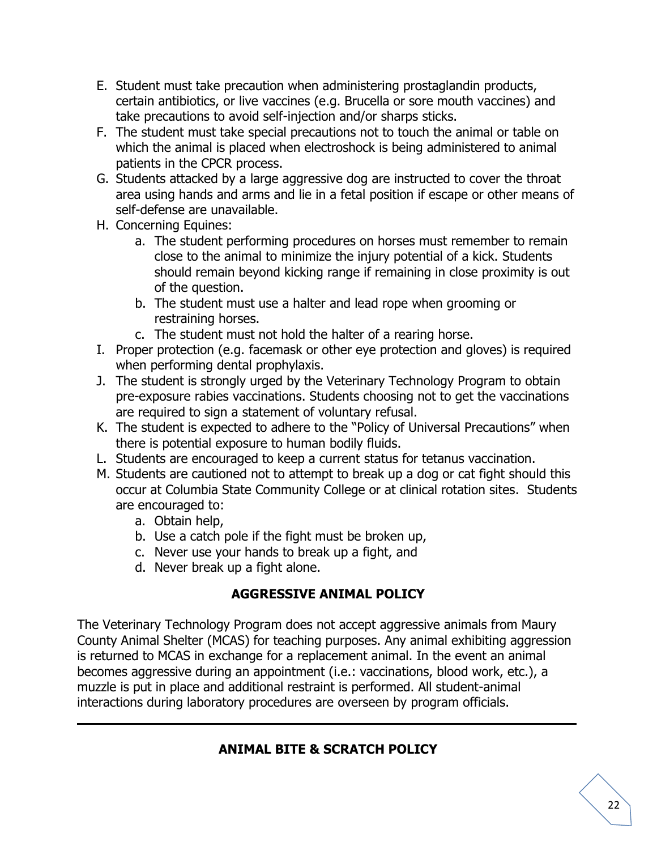- E. Student must take precaution when administering prostaglandin products, certain antibiotics, or live vaccines (e.g. Brucella or sore mouth vaccines) and take precautions to avoid self-injection and/or sharps sticks.
- F. The student must take special precautions not to touch the animal or table on which the animal is placed when electroshock is being administered to animal patients in the CPCR process.
- G. Students attacked by a large aggressive dog are instructed to cover the throat area using hands and arms and lie in a fetal position if escape or other means of self-defense are unavailable.
- H. Concerning Equines:
	- a. The student performing procedures on horses must remember to remain close to the animal to minimize the injury potential of a kick. Students should remain beyond kicking range if remaining in close proximity is out of the question.
	- b. The student must use a halter and lead rope when grooming or restraining horses.
	- c. The student must not hold the halter of a rearing horse.
- I. Proper protection (e.g. facemask or other eye protection and gloves) is required when performing dental prophylaxis.
- J. The student is strongly urged by the Veterinary Technology Program to obtain pre-exposure rabies vaccinations. Students choosing not to get the vaccinations are required to sign a statement of voluntary refusal.
- K. The student is expected to adhere to the "Policy of Universal Precautions" when there is potential exposure to human bodily fluids.
- L. Students are encouraged to keep a current status for tetanus vaccination.
- M. Students are cautioned not to attempt to break up a dog or cat fight should this occur at Columbia State Community College or at clinical rotation sites. Students are encouraged to:
	- a. Obtain help,
	- b. Use a catch pole if the fight must be broken up,
	- c. Never use your hands to break up a fight, and
	- d. Never break up a fight alone.

# **AGGRESSIVE ANIMAL POLICY**

The Veterinary Technology Program does not accept aggressive animals from Maury County Animal Shelter (MCAS) for teaching purposes. Any animal exhibiting aggression is returned to MCAS in exchange for a replacement animal. In the event an animal becomes aggressive during an appointment (i.e.: vaccinations, blood work, etc.), a muzzle is put in place and additional restraint is performed. All student-animal interactions during laboratory procedures are overseen by program officials.

# **ANIMAL BITE & SCRATCH POLICY**

 $\mathcal{L}_\mathcal{L} = \mathcal{L}_\mathcal{L} = \mathcal{L}_\mathcal{L} = \mathcal{L}_\mathcal{L} = \mathcal{L}_\mathcal{L} = \mathcal{L}_\mathcal{L} = \mathcal{L}_\mathcal{L} = \mathcal{L}_\mathcal{L} = \mathcal{L}_\mathcal{L} = \mathcal{L}_\mathcal{L} = \mathcal{L}_\mathcal{L} = \mathcal{L}_\mathcal{L} = \mathcal{L}_\mathcal{L} = \mathcal{L}_\mathcal{L} = \mathcal{L}_\mathcal{L} = \mathcal{L}_\mathcal{L} = \mathcal{L}_\mathcal{L}$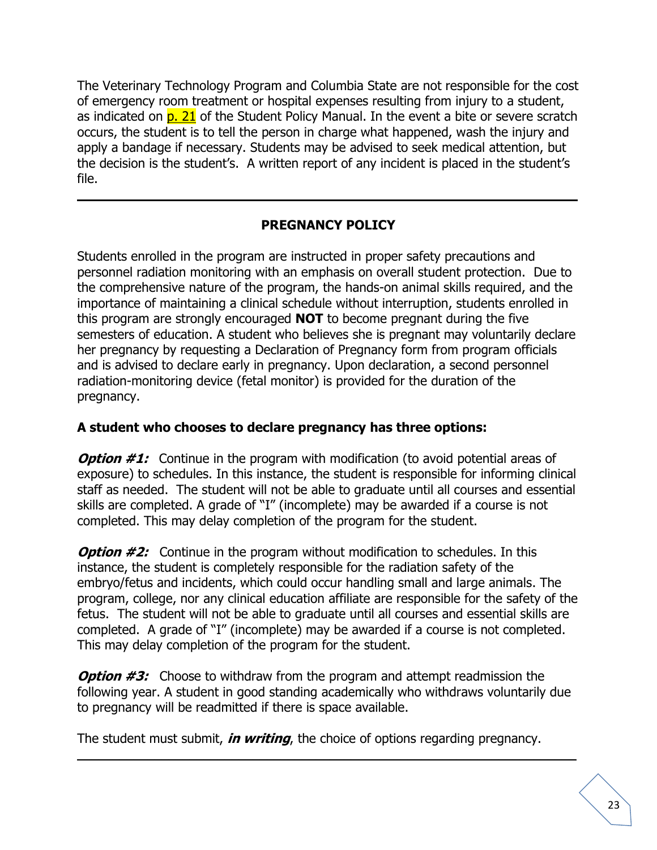The Veterinary Technology Program and Columbia State are not responsible for the cost of emergency room treatment or hospital expenses resulting from injury to a student, as indicated on  $p. 21$  of the Student Policy Manual. In the event a bite or severe scratch occurs, the student is to tell the person in charge what happened, wash the injury and apply a bandage if necessary. Students may be advised to seek medical attention, but the decision is the student's. A written report of any incident is placed in the student's file.

# **PREGNANCY POLICY**

**\_**\_\_\_\_\_\_\_\_\_\_\_\_\_\_\_\_\_\_\_\_\_\_\_\_\_\_\_\_\_\_\_\_\_\_\_\_\_\_\_\_\_\_\_\_\_\_\_\_\_\_\_\_\_\_\_\_\_\_\_\_\_\_\_\_\_\_\_\_\_\_

Students enrolled in the program are instructed in proper safety precautions and personnel radiation monitoring with an emphasis on overall student protection. Due to the comprehensive nature of the program, the hands-on animal skills required, and the importance of maintaining a clinical schedule without interruption, students enrolled in this program are strongly encouraged **NOT** to become pregnant during the five semesters of education. A student who believes she is pregnant may voluntarily declare her pregnancy by requesting a Declaration of Pregnancy form from program officials and is advised to declare early in pregnancy. Upon declaration, a second personnel radiation-monitoring device (fetal monitor) is provided for the duration of the pregnancy.

# **A student who chooses to declare pregnancy has three options:**

**Option #1:** Continue in the program with modification (to avoid potential areas of exposure) to schedules. In this instance, the student is responsible for informing clinical staff as needed. The student will not be able to graduate until all courses and essential skills are completed. A grade of "I" (incomplete) may be awarded if a course is not completed. This may delay completion of the program for the student.

*Option #2:* Continue in the program without modification to schedules. In this instance, the student is completely responsible for the radiation safety of the embryo/fetus and incidents, which could occur handling small and large animals. The program, college, nor any clinical education affiliate are responsible for the safety of the fetus. The student will not be able to graduate until all courses and essential skills are completed. A grade of "I" (incomplete) may be awarded if a course is not completed. This may delay completion of the program for the student.

**Option #3:** Choose to withdraw from the program and attempt readmission the following year. A student in good standing academically who withdraws voluntarily due to pregnancy will be readmitted if there is space available.

 $\mathcal{L}_\mathcal{L} = \mathcal{L}_\mathcal{L} = \mathcal{L}_\mathcal{L} = \mathcal{L}_\mathcal{L} = \mathcal{L}_\mathcal{L} = \mathcal{L}_\mathcal{L} = \mathcal{L}_\mathcal{L} = \mathcal{L}_\mathcal{L} = \mathcal{L}_\mathcal{L} = \mathcal{L}_\mathcal{L} = \mathcal{L}_\mathcal{L} = \mathcal{L}_\mathcal{L} = \mathcal{L}_\mathcal{L} = \mathcal{L}_\mathcal{L} = \mathcal{L}_\mathcal{L} = \mathcal{L}_\mathcal{L} = \mathcal{L}_\mathcal{L}$ 

The student must submit, **in writing**, the choice of options regarding pregnancy.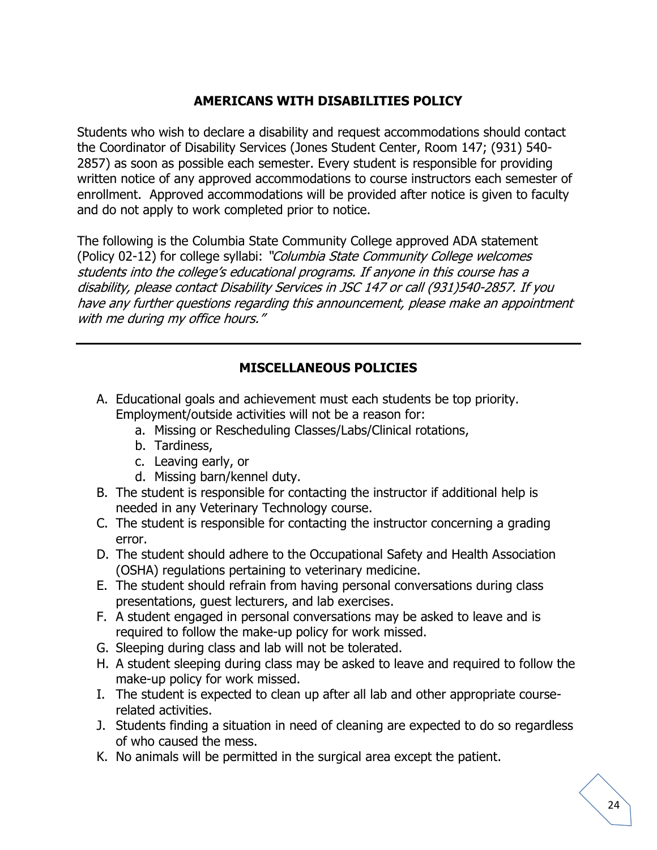### **AMERICANS WITH DISABILITIES POLICY**

Students who wish to declare a disability and request accommodations should contact the Coordinator of Disability Services (Jones Student Center, Room 147; (931) 540- 2857) as soon as possible each semester. Every student is responsible for providing written notice of any approved accommodations to course instructors each semester of enrollment. Approved accommodations will be provided after notice is given to faculty and do not apply to work completed prior to notice.

The following is the Columbia State Community College approved ADA statement (Policy 02-12) for college syllabi: "Columbia State Community College welcomes students into the college's educational programs. If anyone in this course has a disability, please contact Disability Services in JSC 147 or call (931)540-2857. If you have any further questions regarding this announcement, please make an appointment with me during my office hours."

# **MISCELLANEOUS POLICIES**

- A. Educational goals and achievement must each students be top priority. Employment/outside activities will not be a reason for:
	- a. Missing or Rescheduling Classes/Labs/Clinical rotations,
	- b. Tardiness,
	- c. Leaving early, or
	- d. Missing barn/kennel duty.
- B. The student is responsible for contacting the instructor if additional help is needed in any Veterinary Technology course.
- C. The student is responsible for contacting the instructor concerning a grading error.
- D. The student should adhere to the Occupational Safety and Health Association (OSHA) regulations pertaining to veterinary medicine.
- E. The student should refrain from having personal conversations during class presentations, guest lecturers, and lab exercises.
- F. A student engaged in personal conversations may be asked to leave and is required to follow the make-up policy for work missed.
- G. Sleeping during class and lab will not be tolerated.
- H. A student sleeping during class may be asked to leave and required to follow the make-up policy for work missed.
- I. The student is expected to clean up after all lab and other appropriate courserelated activities.
- J. Students finding a situation in need of cleaning are expected to do so regardless of who caused the mess.
- K. No animals will be permitted in the surgical area except the patient.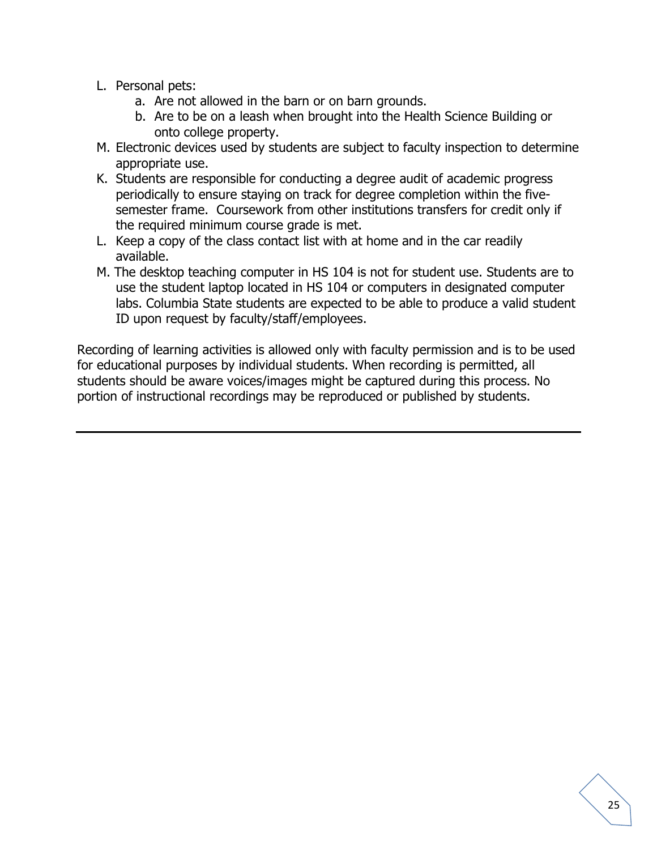- L. Personal pets:
	- a. Are not allowed in the barn or on barn grounds.
	- b. Are to be on a leash when brought into the Health Science Building or onto college property.
- M. Electronic devices used by students are subject to faculty inspection to determine appropriate use.
- K. Students are responsible for conducting a degree audit of academic progress periodically to ensure staying on track for degree completion within the fivesemester frame. Coursework from other institutions transfers for credit only if the required minimum course grade is met.
- L. Keep a copy of the class contact list with at home and in the car readily available.
- M. The desktop teaching computer in HS 104 is not for student use. Students are to use the student laptop located in HS 104 or computers in designated computer labs. Columbia State students are expected to be able to produce a valid student ID upon request by faculty/staff/employees.

Recording of learning activities is allowed only with faculty permission and is to be used for educational purposes by individual students. When recording is permitted, all students should be aware voices/images might be captured during this process. No portion of instructional recordings may be reproduced or published by students.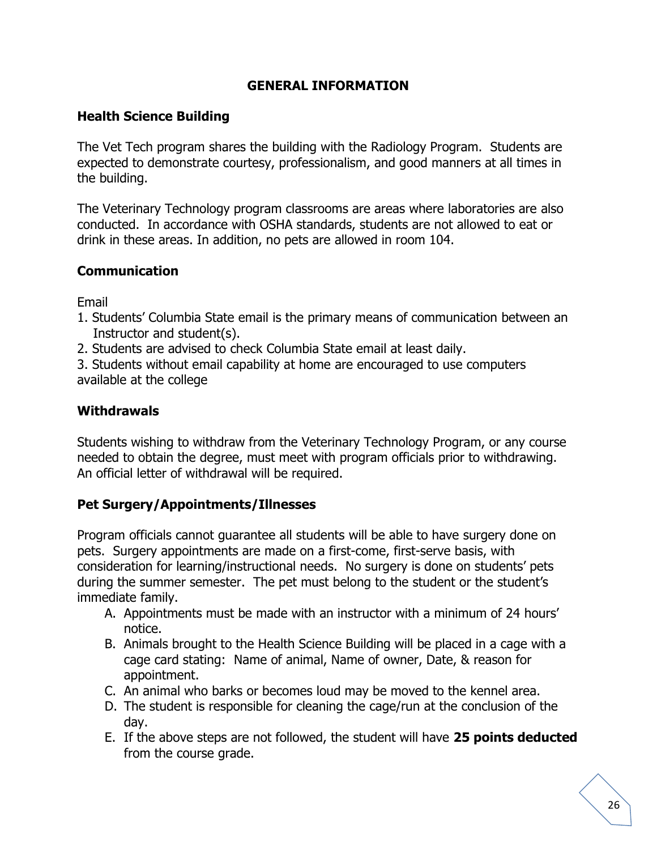### **GENERAL INFORMATION**

#### **Health Science Building**

The Vet Tech program shares the building with the Radiology Program. Students are expected to demonstrate courtesy, professionalism, and good manners at all times in the building.

The Veterinary Technology program classrooms are areas where laboratories are also conducted. In accordance with OSHA standards, students are not allowed to eat or drink in these areas. In addition, no pets are allowed in room 104.

#### **Communication**

Email

- 1. Students' Columbia State email is the primary means of communication between an Instructor and student(s).
- 2. Students are advised to check Columbia State email at least daily.

3. Students without email capability at home are encouraged to use computers available at the college

#### **Withdrawals**

Students wishing to withdraw from the Veterinary Technology Program, or any course needed to obtain the degree, must meet with program officials prior to withdrawing. An official letter of withdrawal will be required.

#### **Pet Surgery/Appointments/Illnesses**

Program officials cannot guarantee all students will be able to have surgery done on pets. Surgery appointments are made on a first-come, first-serve basis, with consideration for learning/instructional needs. No surgery is done on students' pets during the summer semester. The pet must belong to the student or the student's immediate family.

- A. Appointments must be made with an instructor with a minimum of 24 hours' notice.
- B. Animals brought to the Health Science Building will be placed in a cage with a cage card stating: Name of animal, Name of owner, Date, & reason for appointment.
- C. An animal who barks or becomes loud may be moved to the kennel area.
- D. The student is responsible for cleaning the cage/run at the conclusion of the day.
- E. If the above steps are not followed, the student will have **25 points deducted** from the course grade.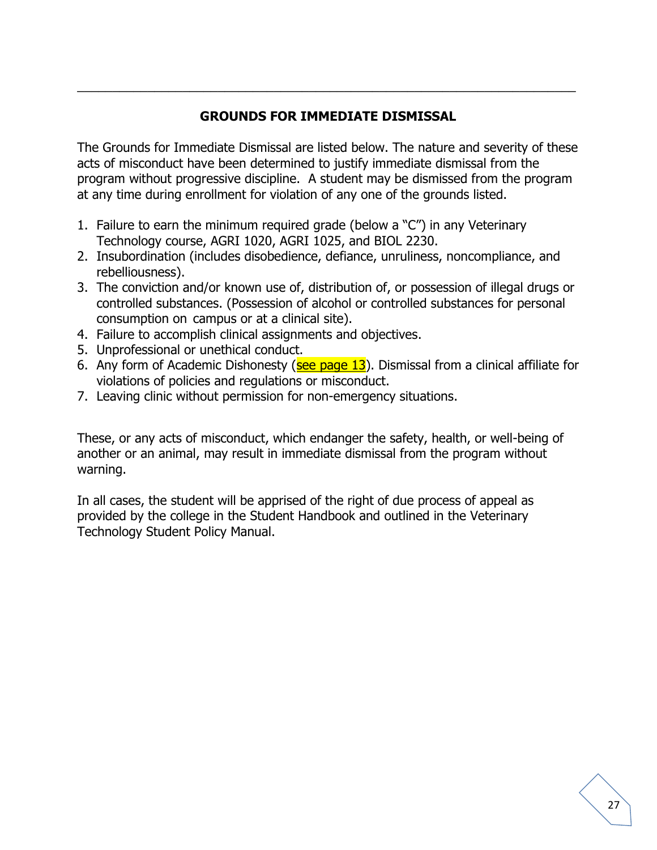# **GROUNDS FOR IMMEDIATE DISMISSAL**

\_\_\_\_\_\_\_\_\_\_\_\_\_\_\_\_\_\_\_\_\_\_\_\_\_\_\_\_\_\_\_\_\_\_\_\_\_\_\_\_\_\_\_\_\_\_\_\_\_\_\_\_\_\_\_\_\_\_\_\_\_\_\_\_\_\_\_\_\_\_\_

The Grounds for Immediate Dismissal are listed below. The nature and severity of these acts of misconduct have been determined to justify immediate dismissal from the program without progressive discipline. A student may be dismissed from the program at any time during enrollment for violation of any one of the grounds listed.

- 1. Failure to earn the minimum required grade (below a "C") in any Veterinary Technology course, AGRI 1020, AGRI 1025, and BIOL 2230.
- 2. Insubordination (includes disobedience, defiance, unruliness, noncompliance, and rebelliousness).
- 3. The conviction and/or known use of, distribution of, or possession of illegal drugs or controlled substances. (Possession of alcohol or controlled substances for personal consumption on campus or at a clinical site).
- 4. Failure to accomplish clinical assignments and objectives.
- 5. Unprofessional or unethical conduct.
- 6. Any form of Academic Dishonesty ( $\frac{\text{see page 13}}{\text{base 13}}$ ). Dismissal from a clinical affiliate for violations of policies and regulations or misconduct.
- 7. Leaving clinic without permission for non-emergency situations.

These, or any acts of misconduct, which endanger the safety, health, or well-being of another or an animal, may result in immediate dismissal from the program without warning.

In all cases, the student will be apprised of the right of due process of appeal as provided by the college in the Student Handbook and outlined in the Veterinary Technology Student Policy Manual.